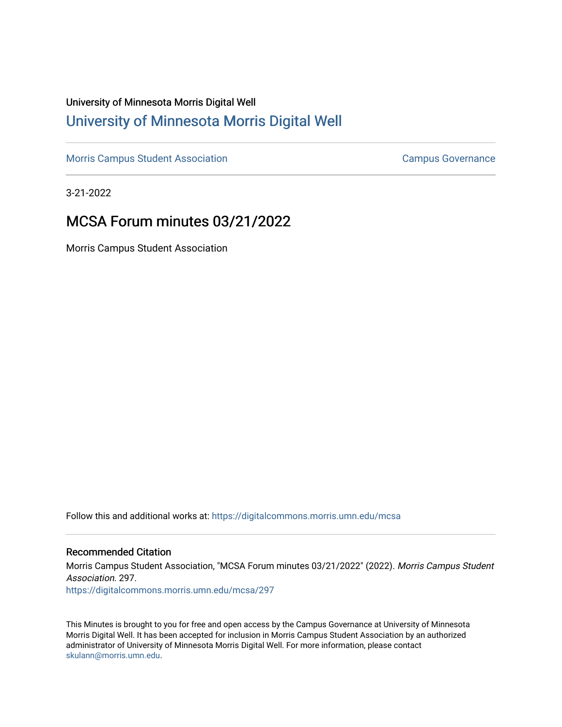# University of Minnesota Morris Digital Well [University of Minnesota Morris Digital Well](https://digitalcommons.morris.umn.edu/)

[Morris Campus Student Association](https://digitalcommons.morris.umn.edu/mcsa) **Campus Governance** Campus Governance

3-21-2022

# MCSA Forum minutes 03/21/2022

Morris Campus Student Association

Follow this and additional works at: [https://digitalcommons.morris.umn.edu/mcsa](https://digitalcommons.morris.umn.edu/mcsa?utm_source=digitalcommons.morris.umn.edu%2Fmcsa%2F297&utm_medium=PDF&utm_campaign=PDFCoverPages) 

#### Recommended Citation

Morris Campus Student Association, "MCSA Forum minutes 03/21/2022" (2022). Morris Campus Student Association. 297.

[https://digitalcommons.morris.umn.edu/mcsa/297](https://digitalcommons.morris.umn.edu/mcsa/297?utm_source=digitalcommons.morris.umn.edu%2Fmcsa%2F297&utm_medium=PDF&utm_campaign=PDFCoverPages) 

This Minutes is brought to you for free and open access by the Campus Governance at University of Minnesota Morris Digital Well. It has been accepted for inclusion in Morris Campus Student Association by an authorized administrator of University of Minnesota Morris Digital Well. For more information, please contact [skulann@morris.umn.edu.](mailto:skulann@morris.umn.edu)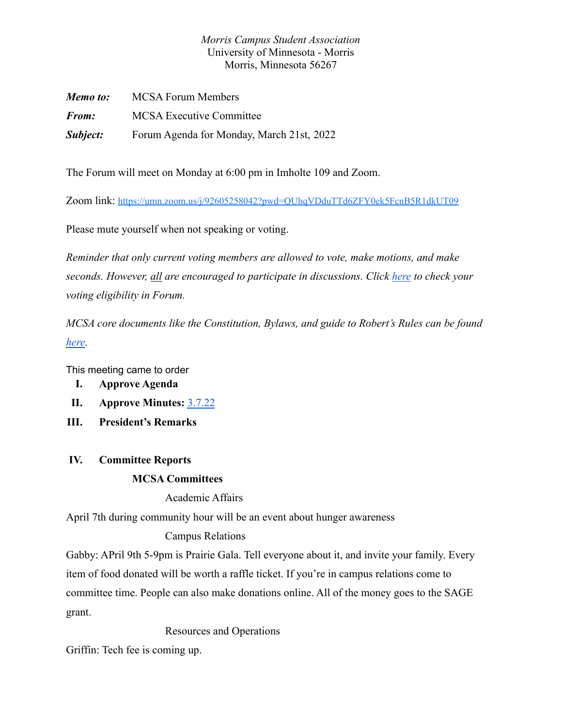### *Morris Campus Student Association* University of Minnesota - Morris Morris, Minnesota 56267

| Memo to:     | <b>MCSA Forum Members</b>                 |
|--------------|-------------------------------------------|
| <i>From:</i> | <b>MCSA</b> Executive Committee           |
| Subject:     | Forum Agenda for Monday, March 21st, 2022 |

The Forum will meet on Monday at 6:00 pm in Imholte 109 and Zoom.

Zoom link: https://umn.zoom.us/j/92605258042?pwd=OUhqVDduTTd6ZFY0ek5FcnB5R1dkUT09

Please mute yourself when not speaking or voting.

*Reminder that only current voting members are allowed to vote, make motions, and make seconds. However, all are encouraged to participate in discussions. Click [here](https://docs.google.com/spreadsheets/d/1IgORcenzdq47MXSEksu8Kf-kX8Rk_J3VRxbcskqDAks/edit?usp=sharing) to check your voting eligibility in Forum.*

*MCSA core documents like the Constitution, Bylaws, and guide to Robert's Rules can be found [here.](https://drive.google.com/drive/folders/1TIMThwj04feIUKbJOUHqFjpxSo5d_3_W?usp=sharing)*

This meeting came to order

- **I. Approve Agenda**
- **II. Approve Minutes:** [3.7.22](https://docs.google.com/document/d/1_-GfdQUSCNzbCtDczN1oxr8Y6Eoa-8LxRAcunUDs5BY/edit)
- **III. President's Remarks**

### **IV. Committee Reports**

### **MCSA Committees**

Academic Affairs

April 7th during community hour will be an event about hunger awareness

### Campus Relations

Gabby: APril 9th 5-9pm is Prairie Gala. Tell everyone about it, and invite your family. Every item of food donated will be worth a raffle ticket. If you're in campus relations come to committee time. People can also make donations online. All of the money goes to the SAGE grant.

Resources and Operations

Griffin: Tech fee is coming up.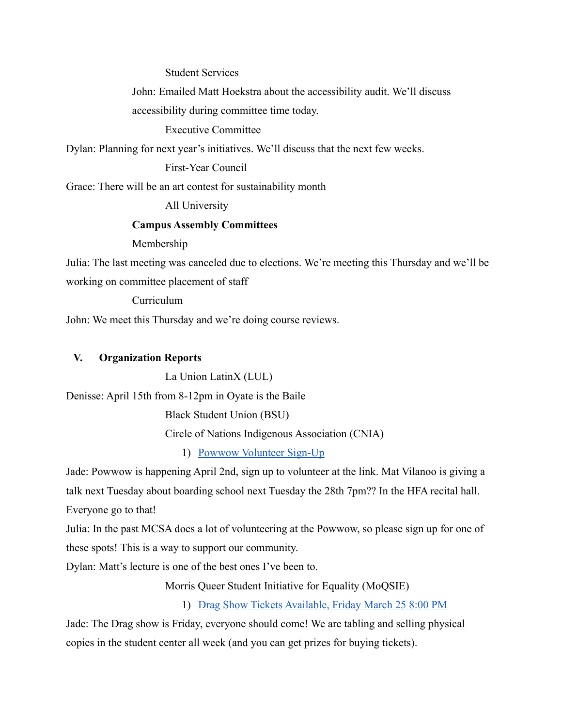Student Services

John: Emailed Matt Hoekstra about the accessibility audit. We'll discuss accessibility during committee time today.

Executive Committee

Dylan: Planning for next year's initiatives. We'll discuss that the next few weeks.

First-Year Council

Grace: There will be an art contest for sustainability month

All University

#### **Campus Assembly Committees**

Membership

Julia: The last meeting was canceled due to elections. We're meeting this Thursday and we'll be working on committee placement of staff

Curriculum

John: We meet this Thursday and we're doing course reviews.

#### **V. Organization Reports**

La Union LatinX (LUL)

Denisse: April 15th from 8-12pm in Oyate is the Baile

Black Student Union (BSU)

Circle of Nations Indigenous Association (CNIA)

1) [Powwow Volunteer Sign-Up](https://docs.google.com/spreadsheets/d/1J2ReNgw1FurHJYs-sjxRKqVSLCaZFjiaz6sk2aGkACg/edit?usp=sharing)

Jade: Powwow is happening April 2nd, sign up to volunteer at the link. Mat Vilanoo is giving a talk next Tuesday about boarding school next Tuesday the 28th 7pm?? In the HFA recital hall.

Everyone go to that!

Julia: In the past MCSA does a lot of volunteering at the Powwow, so please sign up for one of these spots! This is a way to support our community.

Dylan: Matt's lecture is one of the best ones I've been to.

Morris Queer Student Initiative for Equality (MoQSIE)

1) [Drag Show Tickets Available, Friday March 25 8:00 PM](https://www.tickets.umn.edu/UMM/Online/)

Jade: The Drag show is Friday, everyone should come! We are tabling and selling physical copies in the student center all week (and you can get prizes for buying tickets).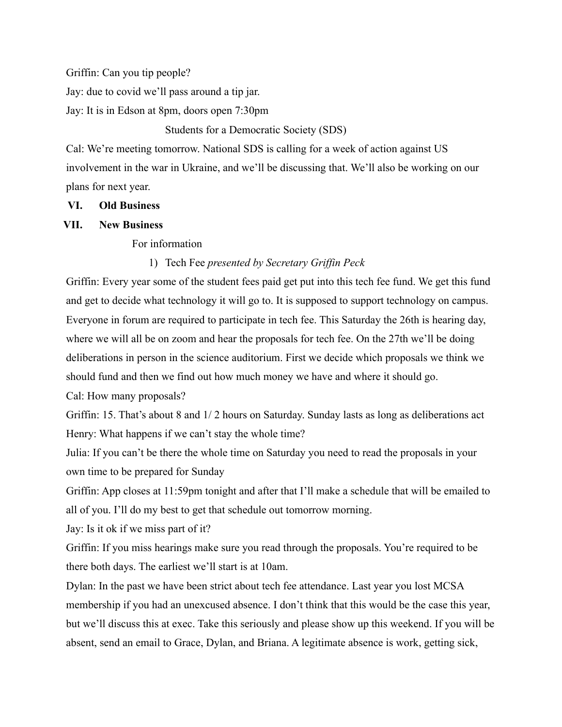Griffin: Can you tip people?

Jay: due to covid we'll pass around a tip jar.

Jay: It is in Edson at 8pm, doors open 7:30pm

Students for a Democratic Society (SDS)

Cal: We're meeting tomorrow. National SDS is calling for a week of action against US involvement in the war in Ukraine, and we'll be discussing that. We'll also be working on our plans for next year.

#### **VI. Old Business**

#### **VII. New Business**

For information

### 1) Tech Fee *presented by Secretary Griffin Peck*

Griffin: Every year some of the student fees paid get put into this tech fee fund. We get this fund and get to decide what technology it will go to. It is supposed to support technology on campus. Everyone in forum are required to participate in tech fee. This Saturday the 26th is hearing day, where we will all be on zoom and hear the proposals for tech fee. On the 27th we'll be doing deliberations in person in the science auditorium. First we decide which proposals we think we should fund and then we find out how much money we have and where it should go.

Cal: How many proposals?

Griffin: 15. That's about 8 and 1/ 2 hours on Saturday. Sunday lasts as long as deliberations act Henry: What happens if we can't stay the whole time?

Julia: If you can't be there the whole time on Saturday you need to read the proposals in your own time to be prepared for Sunday

Griffin: App closes at 11:59pm tonight and after that I'll make a schedule that will be emailed to all of you. I'll do my best to get that schedule out tomorrow morning.

Jay: Is it ok if we miss part of it?

Griffin: If you miss hearings make sure you read through the proposals. You're required to be there both days. The earliest we'll start is at 10am.

Dylan: In the past we have been strict about tech fee attendance. Last year you lost MCSA membership if you had an unexcused absence. I don't think that this would be the case this year, but we'll discuss this at exec. Take this seriously and please show up this weekend. If you will be absent, send an email to Grace, Dylan, and Briana. A legitimate absence is work, getting sick,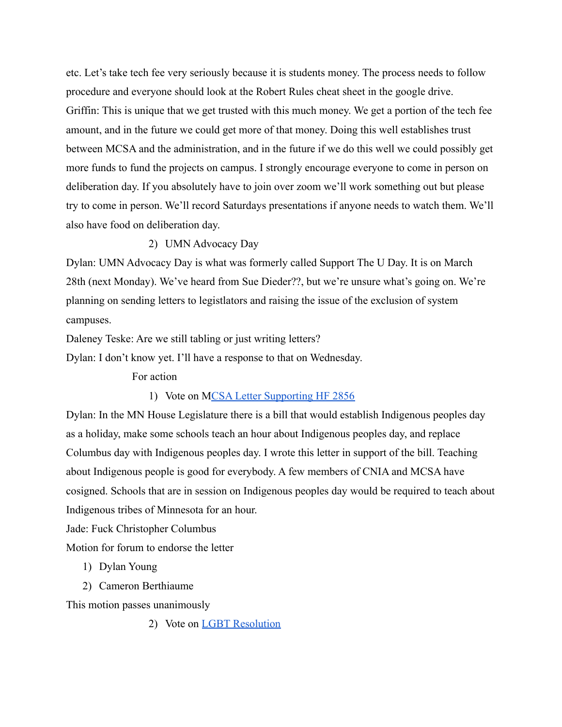etc. Let's take tech fee very seriously because it is students money. The process needs to follow procedure and everyone should look at the Robert Rules cheat sheet in the google drive. Griffin: This is unique that we get trusted with this much money. We get a portion of the tech fee amount, and in the future we could get more of that money. Doing this well establishes trust between MCSA and the administration, and in the future if we do this well we could possibly get more funds to fund the projects on campus. I strongly encourage everyone to come in person on deliberation day. If you absolutely have to join over zoom we'll work something out but please try to come in person. We'll record Saturdays presentations if anyone needs to watch them. We'll also have food on deliberation day.

#### 2) UMN Advocacy Day

Dylan: UMN Advocacy Day is what was formerly called Support The U Day. It is on March 28th (next Monday). We've heard from Sue Dieder??, but we're unsure what's going on. We're planning on sending letters to legistlators and raising the issue of the exclusion of system campuses.

Daleney Teske: Are we still tabling or just writing letters?

Dylan: I don't know yet. I'll have a response to that on Wednesday.

For action

#### 1) Vote on [MCSA Letter Supporting HF 2856](https://docs.google.com/document/d/1GwQKTFZ2dpbNqKjGWrzSnnKSaZ-zTMycCeTEVMIXgUg/edit?usp=sharing)

Dylan: In the MN House Legislature there is a bill that would establish Indigenous peoples day as a holiday, make some schools teach an hour about Indigenous peoples day, and replace Columbus day with Indigenous peoples day. I wrote this letter in support of the bill. Teaching about Indigenous people is good for everybody. A few members of CNIA and MCSA have cosigned. Schools that are in session on Indigenous peoples day would be required to teach about Indigenous tribes of Minnesota for an hour.

Jade: Fuck Christopher Columbus

Motion for forum to endorse the letter

- 1) Dylan Young
- 2) Cameron Berthiaume

This motion passes unanimously

2) Vote on [LGBT Resolution](https://docs.google.com/document/u/1/d/100qwOJ8O8B2A1eyIa62mtGrKQt2fSWQ_h50wG_YzTXQ/edit)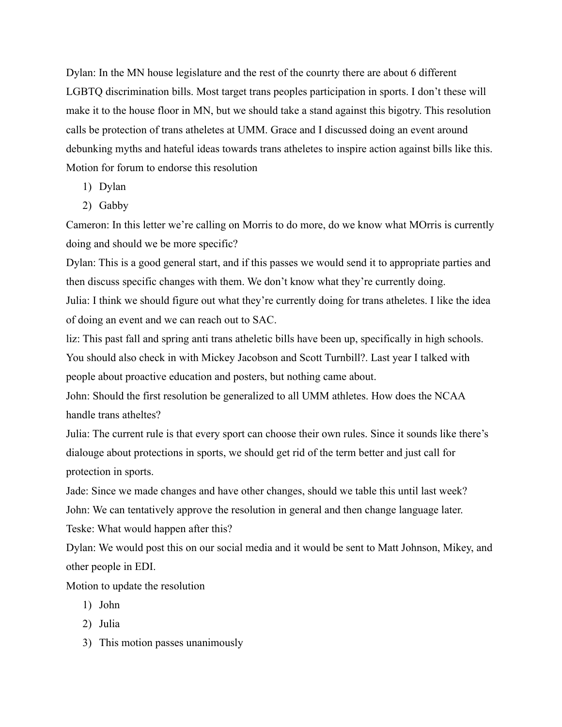Dylan: In the MN house legislature and the rest of the counrty there are about 6 different LGBTQ discrimination bills. Most target trans peoples participation in sports. I don't these will make it to the house floor in MN, but we should take a stand against this bigotry. This resolution calls be protection of trans atheletes at UMM. Grace and I discussed doing an event around debunking myths and hateful ideas towards trans atheletes to inspire action against bills like this. Motion for forum to endorse this resolution

- 1) Dylan
- 2) Gabby

Cameron: In this letter we're calling on Morris to do more, do we know what MOrris is currently doing and should we be more specific?

Dylan: This is a good general start, and if this passes we would send it to appropriate parties and then discuss specific changes with them. We don't know what they're currently doing. Julia: I think we should figure out what they're currently doing for trans atheletes. I like the idea of doing an event and we can reach out to SAC.

liz: This past fall and spring anti trans atheletic bills have been up, specifically in high schools. You should also check in with Mickey Jacobson and Scott Turnbill?. Last year I talked with people about proactive education and posters, but nothing came about.

John: Should the first resolution be generalized to all UMM athletes. How does the NCAA handle trans atheltes?

Julia: The current rule is that every sport can choose their own rules. Since it sounds like there's dialouge about protections in sports, we should get rid of the term better and just call for protection in sports.

Jade: Since we made changes and have other changes, should we table this until last week?

John: We can tentatively approve the resolution in general and then change language later. Teske: What would happen after this?

Dylan: We would post this on our social media and it would be sent to Matt Johnson, Mikey, and other people in EDI.

Motion to update the resolution

- 1) John
- 2) Julia
- 3) This motion passes unanimously